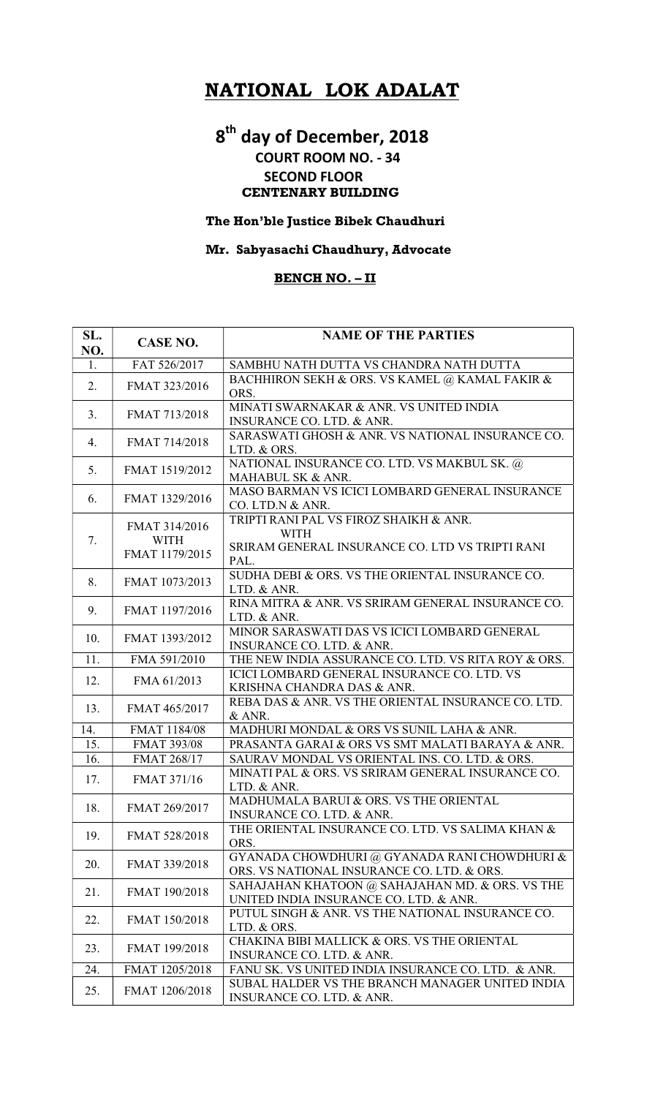# NATIONAL LOK ADALAT

# 8<sup>th</sup> day of December, 2018 COURT ROOM NO. - 34 SECOND FLOOR CENTENARY BUILDING

#### The Hon'ble Justice Bibek Chaudhuri

## Mr. Sabyasachi Chaudhury, Advocate

### BENCH NO. – II

| SL.<br>NO. | <b>CASE NO.</b>              | <b>NAME OF THE PARTIES</b>                                                                 |
|------------|------------------------------|--------------------------------------------------------------------------------------------|
| 1.         | FAT 526/2017                 | SAMBHU NATH DUTTA VS CHANDRA NATH DUTTA                                                    |
| 2.         | FMAT 323/2016                | BACHHIRON SEKH & ORS. VS KAMEL @ KAMAL FAKIR &<br>ORS.                                     |
| 3.         | FMAT 713/2018                | MINATI SWARNAKAR & ANR. VS UNITED INDIA<br><b>INSURANCE CO. LTD. &amp; ANR.</b>            |
| 4.         | FMAT 714/2018                | SARASWATI GHOSH & ANR. VS NATIONAL INSURANCE CO.<br>LTD. & ORS.                            |
| 5.         | FMAT 1519/2012               | NATIONAL INSURANCE CO. LTD. VS MAKBUL SK. @<br>MAHABUL SK & ANR.                           |
| 6.         | FMAT 1329/2016               | MASO BARMAN VS ICICI LOMBARD GENERAL INSURANCE<br>CO. LTD.N & ANR.                         |
| 7.         | FMAT 314/2016<br><b>WITH</b> | TRIPTI RANI PAL VS FIROZ SHAIKH & ANR.<br><b>WITH</b>                                      |
|            | FMAT 1179/2015               | SRIRAM GENERAL INSURANCE CO. LTD VS TRIPTI RANI<br>PAL.                                    |
| 8.         | FMAT 1073/2013               | SUDHA DEBI & ORS. VS THE ORIENTAL INSURANCE CO.<br>LTD. & ANR.                             |
| 9.         | FMAT 1197/2016               | RINA MITRA & ANR. VS SRIRAM GENERAL INSURANCE CO.<br>LTD. & ANR.                           |
| 10.        | FMAT 1393/2012               | MINOR SARASWATI DAS VS ICICI LOMBARD GENERAL<br>INSURANCE CO. LTD. & ANR.                  |
| 11.        | FMA 591/2010                 | THE NEW INDIA ASSURANCE CO. LTD. VS RITA ROY & ORS.                                        |
| 12.        | FMA 61/2013                  | <b>ICICI LOMBARD GENERAL INSURANCE CO. LTD. VS</b><br>KRISHNA CHANDRA DAS & ANR.           |
| 13.        | FMAT 465/2017                | REBA DAS & ANR. VS THE ORIENTAL INSURANCE CO. LTD.<br>& ANR.                               |
| 14.        | FMAT 1184/08                 | MADHURI MONDAL & ORS VS SUNIL LAHA & ANR.                                                  |
| 15.        | FMAT 393/08                  | PRASANTA GARAI & ORS VS SMT MALATI BARAYA & ANR.                                           |
| 16.        | FMAT 268/17                  | SAURAV MONDAL VS ORIENTAL INS. CO. LTD. & ORS.                                             |
| 17.        | <b>FMAT 371/16</b>           | MINATI PAL & ORS. VS SRIRAM GENERAL INSURANCE CO.<br>LTD. & ANR.                           |
| 18.        | FMAT 269/2017                | MADHUMALA BARUI & ORS. VS THE ORIENTAL<br>INSURANCE CO. LTD. & ANR.                        |
| 19.        | FMAT 528/2018                | THE ORIENTAL INSURANCE CO. LTD. VS SALIMA KHAN &<br>ORS.                                   |
| 20.        | FMAT 339/2018                | GYANADA CHOWDHURI @ GYANADA RANI CHOWDHURI &<br>ORS. VS NATIONAL INSURANCE CO. LTD. & ORS. |
| 21.        | FMAT 190/2018                | SAHAJAHAN KHATOON @ SAHAJAHAN MD. & ORS. VS THE<br>UNITED INDIA INSURANCE CO. LTD. & ANR.  |
| 22.        | FMAT 150/2018                | PUTUL SINGH & ANR. VS THE NATIONAL INSURANCE CO.<br>LTD. & ORS.                            |
| 23.        | FMAT 199/2018                | CHAKINA BIBI MALLICK & ORS. VS THE ORIENTAL<br>INSURANCE CO. LTD. & ANR.                   |
| 24.        | FMAT 1205/2018               | FANU SK. VS UNITED INDIA INSURANCE CO. LTD. & ANR.                                         |
| 25.        | FMAT 1206/2018               | SUBAL HALDER VS THE BRANCH MANAGER UNITED INDIA<br>INSURANCE CO. LTD. & ANR.               |